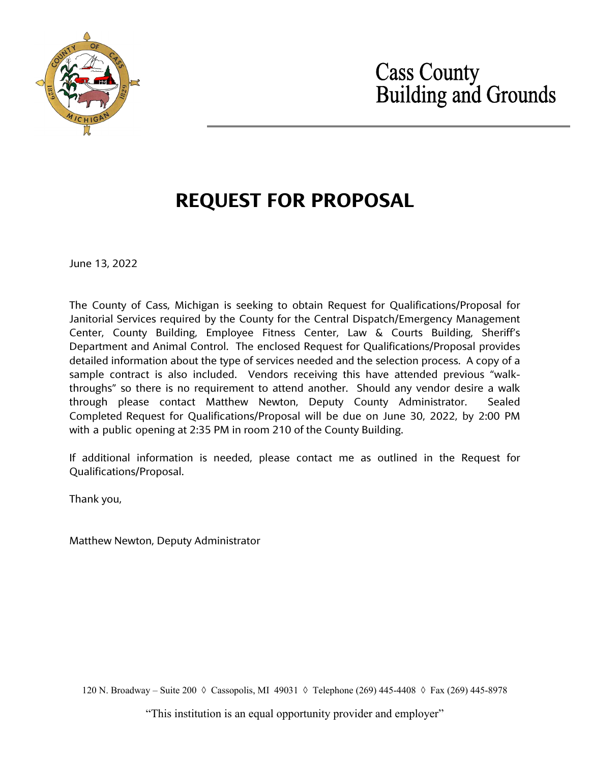

# **Cass County<br>Building and Grounds**

# **REQUEST FOR PROPOSAL**

June 13, 2022

The County of Cass, Michigan is seeking to obtain Request for Qualifications/Proposal for Janitorial Services required by the County for the Central Dispatch/Emergency Management Center, County Building, Employee Fitness Center, Law & Courts Building, Sheriff's Department and Animal Control. The enclosed Request for Qualifications/Proposal provides detailed information about the type of services needed and the selection process. A copy of a sample contract is also included. Vendors receiving this have attended previous "walkthroughs" so there is no requirement to attend another. Should any vendor desire a walk through please contact Matthew Newton, Deputy County Administrator. Sealed Completed Request for Qualifications/Proposal will be due on June 30, 2022, by 2:00 PM with a public opening at 2:35 PM in room 210 of the County Building.

If additional information is needed, please contact me as outlined in the Request for Qualifications/Proposal.

Thank you,

Matthew Newton, Deputy Administrator

120 N. Broadway – Suite 200 ◊ Cassopolis, MI 49031 ◊ Telephone (269) 445-4408 ◊ Fax (269) 445-8978

"This institution is an equal opportunity provider and employer"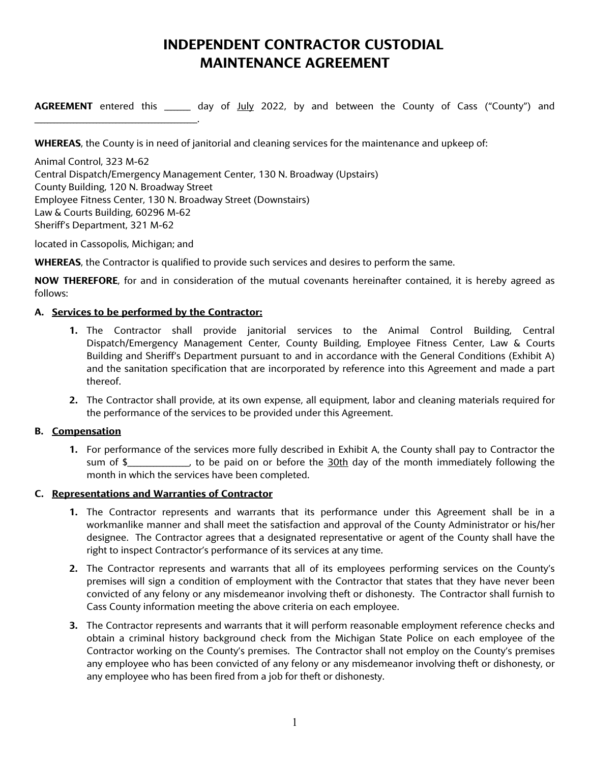# **INDEPENDENT CONTRACTOR CUSTODIAL MAINTENANCE AGREEMENT**

**AGREEMENT** entered this \_\_\_\_\_\_\_\_ day of July 2022, by and between the County of Cass ("County") and

**WHEREAS**, the County is in need of janitorial and cleaning services for the maintenance and upkeep of:

Animal Control, 323 M-62 Central Dispatch/Emergency Management Center, 130 N. Broadway (Upstairs) County Building, 120 N. Broadway Street Employee Fitness Center, 130 N. Broadway Street (Downstairs) Law & Courts Building, 60296 M-62 Sheriff's Department, 321 M-62

located in Cassopolis, Michigan; and

\_\_\_\_\_\_\_\_\_\_\_\_\_\_\_\_\_\_\_\_\_\_\_\_\_\_\_\_\_\_\_\_\_\_\_\_\_\_\_\_\_\_\_\_\_\_\_\_\_\_.

**WHEREAS**, the Contractor is qualified to provide such services and desires to perform the same.

**NOW THEREFORE**, for and in consideration of the mutual covenants hereinafter contained, it is hereby agreed as follows:

# **A. Services to be performed by the Contractor:**

- **1.** The Contractor shall provide janitorial services to the Animal Control Building, Central Dispatch/Emergency Management Center, County Building, Employee Fitness Center, Law & Courts Building and Sheriff's Department pursuant to and in accordance with the General Conditions (Exhibit A) and the sanitation specification that are incorporated by reference into this Agreement and made a part thereof.
- **2.** The Contractor shall provide, at its own expense, all equipment, labor and cleaning materials required for the performance of the services to be provided under this Agreement.

# **B. Compensation**

**1.** For performance of the services more fully described in Exhibit A, the County shall pay to Contractor the sum of \$\_\_\_\_\_\_\_\_\_\_\_\_\_, to be paid on or before the 30th day of the month immediately following the month in which the services have been completed.

# **C. Representations and Warranties of Contractor**

- **1.** The Contractor represents and warrants that its performance under this Agreement shall be in a workmanlike manner and shall meet the satisfaction and approval of the County Administrator or his/her designee. The Contractor agrees that a designated representative or agent of the County shall have the right to inspect Contractor's performance of its services at any time.
- **2.** The Contractor represents and warrants that all of its employees performing services on the County's premises will sign a condition of employment with the Contractor that states that they have never been convicted of any felony or any misdemeanor involving theft or dishonesty. The Contractor shall furnish to Cass County information meeting the above criteria on each employee.
- **3.** The Contractor represents and warrants that it will perform reasonable employment reference checks and obtain a criminal history background check from the Michigan State Police on each employee of the Contractor working on the County's premises. The Contractor shall not employ on the County's premises any employee who has been convicted of any felony or any misdemeanor involving theft or dishonesty, or any employee who has been fired from a job for theft or dishonesty.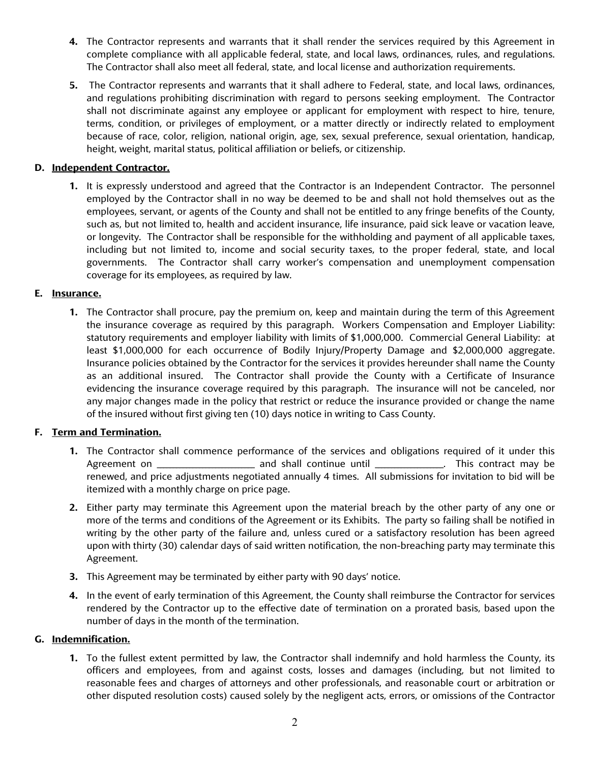- **4.** The Contractor represents and warrants that it shall render the services required by this Agreement in complete compliance with all applicable federal, state, and local laws, ordinances, rules, and regulations. The Contractor shall also meet all federal, state, and local license and authorization requirements.
- **5.** The Contractor represents and warrants that it shall adhere to Federal, state, and local laws, ordinances, and regulations prohibiting discrimination with regard to persons seeking employment. The Contractor shall not discriminate against any employee or applicant for employment with respect to hire, tenure, terms, condition, or privileges of employment, or a matter directly or indirectly related to employment because of race, color, religion, national origin, age, sex, sexual preference, sexual orientation, handicap, height, weight, marital status, political affiliation or beliefs, or citizenship.

# **D. Independent Contractor.**

**1.** It is expressly understood and agreed that the Contractor is an Independent Contractor. The personnel employed by the Contractor shall in no way be deemed to be and shall not hold themselves out as the employees, servant, or agents of the County and shall not be entitled to any fringe benefits of the County, such as, but not limited to, health and accident insurance, life insurance, paid sick leave or vacation leave, or longevity. The Contractor shall be responsible for the withholding and payment of all applicable taxes, including but not limited to, income and social security taxes, to the proper federal, state, and local governments. The Contractor shall carry worker's compensation and unemployment compensation coverage for its employees, as required by law.

# **E. Insurance.**

**1.** The Contractor shall procure, pay the premium on, keep and maintain during the term of this Agreement the insurance coverage as required by this paragraph. Workers Compensation and Employer Liability: statutory requirements and employer liability with limits of \$1,000,000. Commercial General Liability: at least \$1,000,000 for each occurrence of Bodily Injury/Property Damage and \$2,000,000 aggregate. Insurance policies obtained by the Contractor for the services it provides hereunder shall name the County as an additional insured. The Contractor shall provide the County with a Certificate of Insurance evidencing the insurance coverage required by this paragraph. The insurance will not be canceled, nor any major changes made in the policy that restrict or reduce the insurance provided or change the name of the insured without first giving ten (10) days notice in writing to Cass County.

# **F. Term and Termination.**

- **1.** The Contractor shall commence performance of the services and obligations required of it under this Agreement on \_\_\_\_\_\_\_\_\_\_\_\_\_\_\_\_\_\_\_\_\_\_\_\_\_\_\_\_\_\_ and shall continue until \_\_\_\_\_\_\_\_\_\_\_\_\_\_\_\_\_\_\_\_\_. This contract may be renewed, and price adjustments negotiated annually 4 times. All submissions for invitation to bid will be itemized with a monthly charge on price page.
- **2.** Either party may terminate this Agreement upon the material breach by the other party of any one or more of the terms and conditions of the Agreement or its Exhibits. The party so failing shall be notified in writing by the other party of the failure and, unless cured or a satisfactory resolution has been agreed upon with thirty (30) calendar days of said written notification, the non-breaching party may terminate this Agreement.
- **3.** This Agreement may be terminated by either party with 90 days' notice.
- **4.** In the event of early termination of this Agreement, the County shall reimburse the Contractor for services rendered by the Contractor up to the effective date of termination on a prorated basis, based upon the number of days in the month of the termination.

# **G. Indemnification.**

**1.** To the fullest extent permitted by law, the Contractor shall indemnify and hold harmless the County, its officers and employees, from and against costs, losses and damages (including, but not limited to reasonable fees and charges of attorneys and other professionals, and reasonable court or arbitration or other disputed resolution costs) caused solely by the negligent acts, errors, or omissions of the Contractor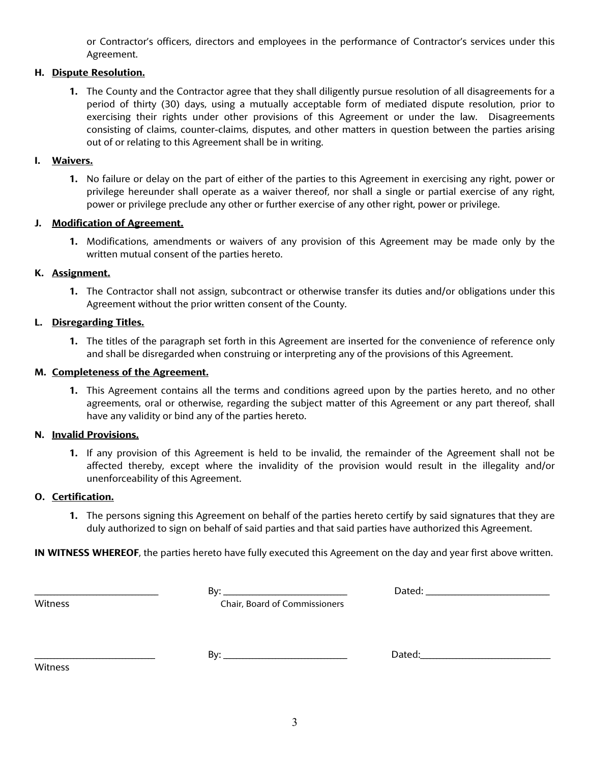or Contractor's officers, directors and employees in the performance of Contractor's services under this Agreement.

# **H. Dispute Resolution.**

**1.** The County and the Contractor agree that they shall diligently pursue resolution of all disagreements for a period of thirty (30) days, using a mutually acceptable form of mediated dispute resolution, prior to exercising their rights under other provisions of this Agreement or under the law. Disagreements consisting of claims, counter-claims, disputes, and other matters in question between the parties arising out of or relating to this Agreement shall be in writing.

#### **I. Waivers.**

**1.** No failure or delay on the part of either of the parties to this Agreement in exercising any right, power or privilege hereunder shall operate as a waiver thereof, nor shall a single or partial exercise of any right, power or privilege preclude any other or further exercise of any other right, power or privilege.

# **J. Modification of Agreement.**

**1.** Modifications, amendments or waivers of any provision of this Agreement may be made only by the written mutual consent of the parties hereto.

#### **K. Assignment.**

**1.** The Contractor shall not assign, subcontract or otherwise transfer its duties and/or obligations under this Agreement without the prior written consent of the County.

# **L. Disregarding Titles.**

**1.** The titles of the paragraph set forth in this Agreement are inserted for the convenience of reference only and shall be disregarded when construing or interpreting any of the provisions of this Agreement.

# **M. Completeness of the Agreement.**

**1.** This Agreement contains all the terms and conditions agreed upon by the parties hereto, and no other agreements, oral or otherwise, regarding the subject matter of this Agreement or any part thereof, shall have any validity or bind any of the parties hereto.

# **N. Invalid Provisions.**

**1.** If any provision of this Agreement is held to be invalid, the remainder of the Agreement shall not be affected thereby, except where the invalidity of the provision would result in the illegality and/or unenforceability of this Agreement.

#### **O. Certification.**

**1.** The persons signing this Agreement on behalf of the parties hereto certify by said signatures that they are duly authorized to sign on behalf of said parties and that said parties have authorized this Agreement.

**IN WITNESS WHEREOF**, the parties hereto have fully executed this Agreement on the day and year first above written.

| Witness |
|---------|
|         |

\_\_\_\_\_\_\_\_\_\_\_\_\_\_\_\_\_\_\_\_\_\_\_\_\_\_\_\_\_\_\_\_\_\_\_\_\_\_ By: \_\_\_\_\_\_\_\_\_\_\_\_\_\_\_\_\_\_\_\_\_\_\_\_\_\_\_\_\_\_\_\_\_\_\_\_\_\_ Dated: \_\_\_\_\_\_\_\_\_\_\_\_\_\_\_\_\_\_\_\_\_\_\_\_\_\_\_\_\_\_\_\_\_\_\_\_\_\_

Chair, Board of Commissioners

Witness

\_\_\_\_\_\_\_\_\_\_\_\_\_\_\_\_\_\_\_\_\_\_\_\_\_\_\_\_\_\_\_\_\_\_\_\_\_ By: \_\_\_\_\_\_\_\_\_\_\_\_\_\_\_\_\_\_\_\_\_\_\_\_\_\_\_\_\_\_\_\_\_\_\_\_\_\_ Dated:\_\_\_\_\_\_\_\_\_\_\_\_\_\_\_\_\_\_\_\_\_\_\_\_\_\_\_\_\_\_\_\_\_\_\_\_\_\_\_\_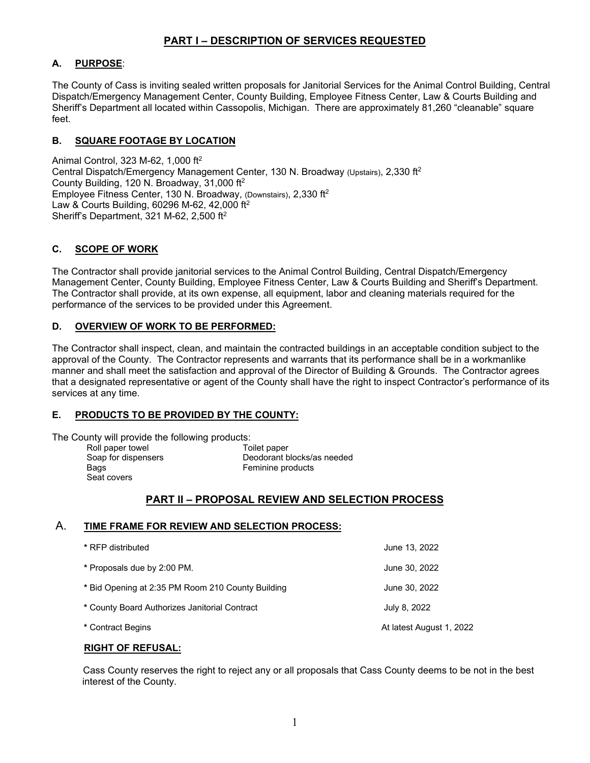# **PART I – DESCRIPTION OF SERVICES REQUESTED**

# **A. PURPOSE**:

The County of Cass is inviting sealed written proposals for Janitorial Services for the Animal Control Building, Central Dispatch/Emergency Management Center, County Building, Employee Fitness Center, Law & Courts Building and Sheriff's Department all located within Cassopolis, Michigan. There are approximately 81,260 "cleanable" square feet.

# **B. SQUARE FOOTAGE BY LOCATION**

Animal Control, 323 M-62, 1,000 ft2 Central Dispatch/Emergency Management Center, 130 N. Broadway (Upstairs), 2,330 ft<sup>2</sup> County Building, 120 N. Broadway, 31,000 ft2 Employee Fitness Center, 130 N. Broadway, (Downstairs), 2,330 ft2 Law & Courts Building, 60296 M-62, 42,000 ft2 Sheriff's Department, 321 M-62, 2,500 ft2

# **C. SCOPE OF WORK**

The Contractor shall provide janitorial services to the Animal Control Building, Central Dispatch/Emergency Management Center, County Building, Employee Fitness Center, Law & Courts Building and Sheriff's Department. The Contractor shall provide, at its own expense, all equipment, labor and cleaning materials required for the performance of the services to be provided under this Agreement.

# **D. OVERVIEW OF WORK TO BE PERFORMED:**

The Contractor shall inspect, clean, and maintain the contracted buildings in an acceptable condition subject to the approval of the County. The Contractor represents and warrants that its performance shall be in a workmanlike manner and shall meet the satisfaction and approval of the Director of Building & Grounds. The Contractor agrees that a designated representative or agent of the County shall have the right to inspect Contractor's performance of its services at any time.

# **E. PRODUCTS TO BE PROVIDED BY THE COUNTY:**

The County will provide the following products:

Roll paper towel **Toilet paper** Seat covers

Soap for dispensers **Deodorant blocks/as needed**<br>Bags **Bags** Feminine products Feminine products

# **PART II – PROPOSAL REVIEW AND SELECTION PROCESS**

# A. **TIME FRAME FOR REVIEW AND SELECTION PROCESS:**

| * RFP distributed                                 | June 13, 2022            |
|---------------------------------------------------|--------------------------|
| * Proposals due by 2:00 PM.                       | June 30, 2022            |
| * Bid Opening at 2:35 PM Room 210 County Building | June 30, 2022            |
| * County Board Authorizes Janitorial Contract     | July 8, 2022             |
| * Contract Begins                                 | At latest August 1, 2022 |

#### **RIGHT OF REFUSAL:**

Cass County reserves the right to reject any or all proposals that Cass County deems to be not in the best interest of the County.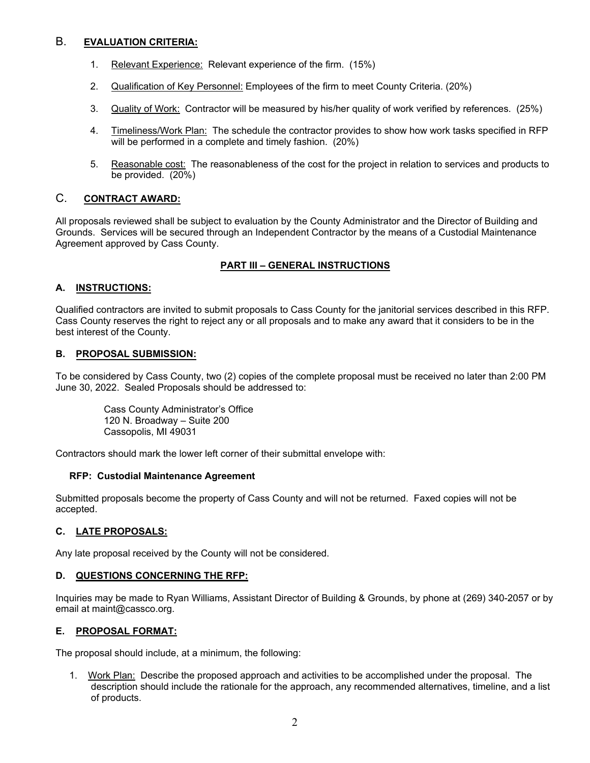# B. **EVALUATION CRITERIA:**

- 1. Relevant Experience: Relevant experience of the firm. (15%)
- 2. Qualification of Key Personnel: Employees of the firm to meet County Criteria. (20%)
- 3. Quality of Work: Contractor will be measured by his/her quality of work verified by references. (25%)
- 4. Timeliness/Work Plan: The schedule the contractor provides to show how work tasks specified in RFP will be performed in a complete and timely fashion. (20%)
- 5. Reasonable cost: The reasonableness of the cost for the project in relation to services and products to be provided. (20%)

# C. **CONTRACT AWARD:**

All proposals reviewed shall be subject to evaluation by the County Administrator and the Director of Building and Grounds. Services will be secured through an Independent Contractor by the means of a Custodial Maintenance Agreement approved by Cass County.

# **PART III – GENERAL INSTRUCTIONS**

# **A. INSTRUCTIONS:**

Qualified contractors are invited to submit proposals to Cass County for the janitorial services described in this RFP. Cass County reserves the right to reject any or all proposals and to make any award that it considers to be in the best interest of the County.

#### **B. PROPOSAL SUBMISSION:**

To be considered by Cass County, two (2) copies of the complete proposal must be received no later than 2:00 PM June 30, 2022. Sealed Proposals should be addressed to:

Cass County Administrator's Office 120 N. Broadway – Suite 200 Cassopolis, MI 49031

Contractors should mark the lower left corner of their submittal envelope with:

#### **RFP: Custodial Maintenance Agreement**

Submitted proposals become the property of Cass County and will not be returned. Faxed copies will not be accepted.

#### **C. LATE PROPOSALS:**

Any late proposal received by the County will not be considered.

# **D. QUESTIONS CONCERNING THE RFP:**

Inquiries may be made to Ryan Williams, Assistant Director of Building & Grounds, by phone at (269) 340-2057 or by email at maint@cassco.org.

#### **E. PROPOSAL FORMAT:**

The proposal should include, at a minimum, the following:

1. Work Plan: Describe the proposed approach and activities to be accomplished under the proposal. The description should include the rationale for the approach, any recommended alternatives, timeline, and a list of products.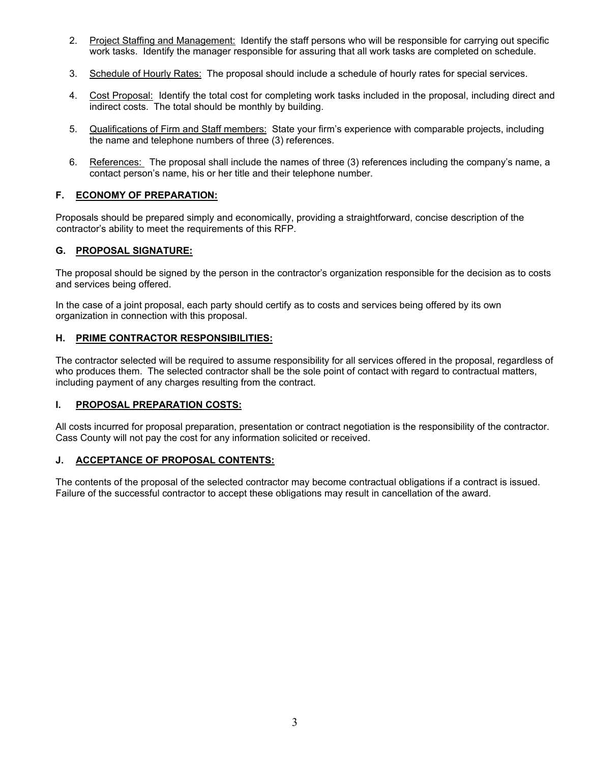- 2. Project Staffing and Management: Identify the staff persons who will be responsible for carrying out specific work tasks. Identify the manager responsible for assuring that all work tasks are completed on schedule.
- 3. Schedule of Hourly Rates: The proposal should include a schedule of hourly rates for special services.
- 4. Cost Proposal: Identify the total cost for completing work tasks included in the proposal, including direct and indirect costs. The total should be monthly by building.
- 5. Qualifications of Firm and Staff members: State your firm's experience with comparable projects, including the name and telephone numbers of three (3) references.
- 6. References: The proposal shall include the names of three (3) references including the company's name, a contact person's name, his or her title and their telephone number.

# **F. ECONOMY OF PREPARATION:**

Proposals should be prepared simply and economically, providing a straightforward, concise description of the contractor's ability to meet the requirements of this RFP.

#### **G. PROPOSAL SIGNATURE:**

The proposal should be signed by the person in the contractor's organization responsible for the decision as to costs and services being offered.

In the case of a joint proposal, each party should certify as to costs and services being offered by its own organization in connection with this proposal.

#### **H. PRIME CONTRACTOR RESPONSIBILITIES:**

The contractor selected will be required to assume responsibility for all services offered in the proposal, regardless of who produces them. The selected contractor shall be the sole point of contact with regard to contractual matters, including payment of any charges resulting from the contract.

#### **I. PROPOSAL PREPARATION COSTS:**

All costs incurred for proposal preparation, presentation or contract negotiation is the responsibility of the contractor. Cass County will not pay the cost for any information solicited or received.

#### **J. ACCEPTANCE OF PROPOSAL CONTENTS:**

The contents of the proposal of the selected contractor may become contractual obligations if a contract is issued. Failure of the successful contractor to accept these obligations may result in cancellation of the award.